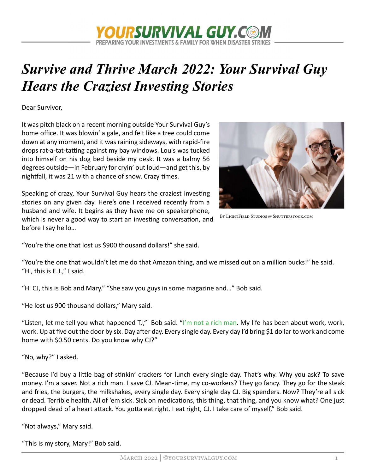

# Survive and Thrive March 2022: Your Survival Guy Hears the Craziest Investing Stories

Dear Survivor,

It was pitch black on a recent morning outside Your Survival Guy's home office. It was blowin' a gale, and felt like a tree could come down at any moment, and it was raining sideways, with rapid-fire drops rat-a-tat-tatting against my bay windows. Louis was tucked into himself on his dog bed beside my desk. It was a balmy 56 degrees outside—in February for cryin' out loud—and get this, by nightfall, it was 21 with a chance of snow. Crazy times.

Speaking of crazy, Your Survival Guy hears the craziest investing stories on any given day. Here's one I received recently from a husband and wife. It begins as they have me on speakerphone, which is never a good way to start an investing conversation, and before I say hello…



BY LIGHTFIELD STUDIOS @ SHUTTERSTOCK.COM

"You're the one that lost us \$900 thousand dollars!" she said.

"You're the one that wouldn't let me do that Amazon thing, and we missed out on a million bucks!" he said. "Hi, this is E.J.," I said.

"Hi CJ, this is Bob and Mary." "She saw you guys in some magazine and…" Bob said.

"He lost us 900 thousand dollars," Mary said.

"Listen, let me tell you what happened TJ," Bob sai[d. "I'm not a rich man.](https://www.yoursurvivalguy.com/financial-security/money-101/invest-like-a-rich-man-not-a-poor-man/) My life has been about work, work, work. Up at five out the door by six. Day after day. Every single day. Every day I'd bring \$1 dollar to work and come home with \$0.50 cents. Do you know why CJ?"

"No, why?" I asked.

"Because I'd buy a little bag of stinkin' crackers for lunch every single day. That's why. Why you ask? To save money. I'm a saver. Not a rich man. I save CJ. Mean-time, my co-workers? They go fancy. They go for the steak and fries, the burgers, the milkshakes, every single day. Every single day CJ. Big spenders. Now? They're all sick or dead. Terrible health. All of 'em sick. Sick on medications, this thing, that thing, and you know what? One just dropped dead of a heart attack. You gotta eat right. I eat right, CJ. I take care of myself," Bob said.

"Not always," Mary said.

"This is my story, Mary!" Bob said.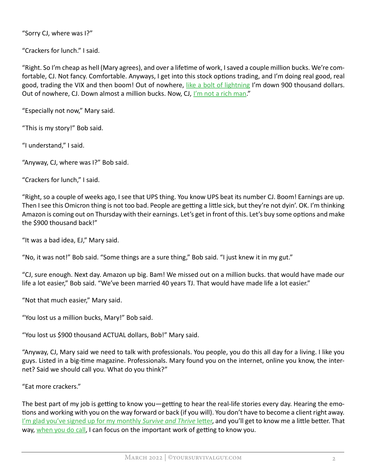"Sorry CJ, where was I?"

"Crackers for lunch." I said.

"Right. So I'm cheap as hell (Mary agrees), and over a lifetime of work, I saved a couple million bucks. We're comfortable, CJ. Not fancy. Comfortable. Anyways, I get into this stock options trading, and I'm doing real good, real good, trading the VIX and then boom! Out of nowhere, [like a bolt of lightning I](https://www.yoursurvivalguy.com/personal-security/prepping/your-survival-guy-simple-prepping-for-winter-storms/)'m down 900 thousand dollars. Out of nowhere, CJ. Down almost a million bucks. Now, [CJ, I'm not a rich man."](https://www.yoursurvivalguy.com/financial-security/money-101/invest-like-a-rich-man-not-a-poor-man/)

"Especially not now," Mary said.

"This is my story!" Bob said.

"I understand," I said.

"Anyway, CJ, where was I?" Bob said.

"Crackers for lunch," I said.

"Right, so a couple of weeks ago, I see that UPS thing. You know UPS beat its number CJ. Boom! Earnings are up. Then I see this Omicron thing is not too bad. People are getting a little sick, but they're not dyin'. OK. I'm thinking Amazon is coming out on Thursday with their earnings. Let's get in front of this. Let's buy some options and make the \$900 thousand back!"

"It was a bad idea, EJ," Mary said.

"No, it was not!" Bob said. "Some things are a sure thing," Bob said. "I just knew it in my gut."

"CJ, sure enough. Next day. Amazon up big. Bam! We missed out on a million bucks. that would have made our life a lot easier," Bob said. "We've been married 40 years TJ. That would have made life a lot easier."

"Not that much easier," Mary said.

"You lost us a million bucks, Mary!" Bob said.

"You lost us \$900 thousand ACTUAL dollars, Bob!" Mary said.

"Anyway, CJ, Mary said we need to talk with professionals. You people, you do this all day for a living. I like you guys. Listed in a big-time magazine. Professionals. Mary found you on the internet, online you know, the internet? Said we should call you. What do you think?"

"Eat more crackers."

The best part of my job is getting to know you—getting to hear the real-life stories every day. Hearing the emotions and working with you on the way forward or back (if you will). You don't have to become a client right away. I'm glad you've signed up for my monthly Survive and Thrive letter, and you'll get to know me a little better. That way[, when you do call, I can](https://www.yoursurvivalguy.com/financial-security/i-would-love-to-talk-with-you/) focus on the important work of getting to know you.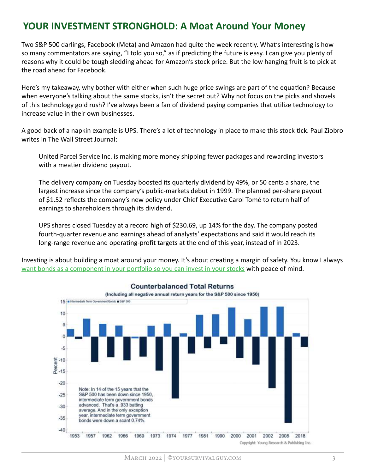#### YOUR INVESTMENT STRONGHOLD: A Moat Around Your Money

Two S&P 500 darlings, Facebook (Meta) and Amazon had quite the week recently. What's interesting is how so many commentators are saying, "I told you so," as if predicting the future is easy. I can give you plenty of reasons why it could be tough sledding ahead for Amazon's stock price. But the low hanging fruit is to pick at the road ahead for Facebook.

Here's my takeaway, why bother with either when such huge price swings are part of the equation? Because when everyone's talking about the same stocks, isn't the secret out? Why not focus on the picks and shovels of this technology gold rush? I've always been a fan of dividend paying companies that utilize technology to increase value in their own businesses.

A good back of a napkin example is UPS. There's a lot of technology in place to make this stock tick. Paul Ziobro writes in The Wall Street Journal:

United Parcel Service Inc. is making more money shipping fewer packages and rewarding investors with a meatier dividend payout.

The delivery company on Tuesday boosted its quarterly dividend by 49%, or 50 cents a share, the largest increase since the company's public-markets debut in 1999. The planned per-share payout of \$1.52 reflects the company's new policy under Chief Executive Carol Tomé to return half of earnings to shareholders through its dividend.

UPS shares closed Tuesday at a record high of \$230.69, up 14% for the day. The company posted fourth-quarter revenue and earnings ahead of analysts' expectations and said it would reach its long-range revenue and operating-profit targets at the end of this year, instead of in 2023.

Investing is about building a moat around your money. It's about creating a margin of safety. You know I always want bonds as a component in your portfolio so you can invest in your stocks with peace of mind.



#### **Counterbalanced Total Returns**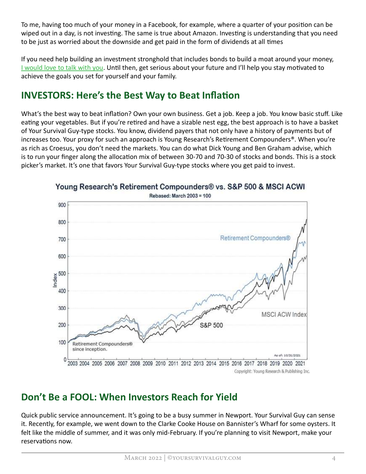To me, having too much of your money in a Facebook, for example, where a quarter of your position can be wiped out in a day, is not investing. The same is true about Amazon. Investing is understanding that you need to be just as worried about the downside and get paid in the form of dividends at all times

If you need help building an investment stronghold that includes bonds to build a moat around your money, [I would love to talk with you](https://www.yoursurvivalguy.com/financial-security/i-would-love-to-talk-with-you/). Until then, get serious about your future and I'll help you stay motivated to achieve the goals you set for yourself and your family.

# INVESTORS: Here's the Best Way to Beat Inflation

What's the best way to beat inflation? Own your own business. Get a job. Keep a job. You know basic stuff. Like eating your vegetables. But if you're retired and have a sizable nest egg, the best approach is to have a basket of Your Survival Guy-type stocks. You know, dividend payers that not only have a history of payments but of increases too. Your proxy for such an approach is Young Research's Retirement Compounders®. When you're as rich as Croesus, you don't need the markets. You can do what Dick Young and Ben Graham advise, which is to run your finger along the allocation mix of between 30-70 and 70-30 of stocks and bonds. This is a stock picker's market. It's one that favors Your Survival Guy-type stocks where you get paid to invest.



Young Research's Retirement Compounders® vs. S&P 500 & MSCI ACWI

### Don't Be a FOOL: When Investors Reach for Yield

Quick public service announcement. It's going to be a busy summer in Newport. Your Survival Guy can sense it. Recently, for example, we went down to the Clarke Cooke House on Bannister's Wharf for some oysters. It felt like the middle of summer, and it was only mid-February. If you're planning to visit Newport, make your reservations now.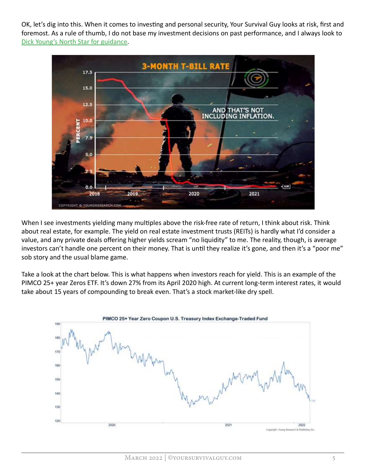OK, let's dig into this. When it comes to investing and personal security, Your Survival Guy looks at risk, first and [foremost. As a rule of thumb, I do not b](https://www.youngresearch.com/researchandanalysis/stocks-researchandanalysis/coronavirus-infects-stock-market-part-xv/)ase my investment decisions on past performance, and I always look to Dick Young's North Star for guidance.



When I see investments yielding many multiples above the risk-free rate of return, I think about risk. Think about real estate, for example. The yield on real estate investment trusts (REITs) is hardly what I'd consider a value, and any private deals offering higher yields scream "no liquidity" to me. The reality, though, is average investors can't handle one percent on their money. That is until they realize it's gone, and then it's a "poor me" sob story and the usual blame game.

Take a look at the chart below. This is what happens when investors reach for yield. This is an example of the PIMCO 25+ year Zeros ETF. It's down 27% from its April 2020 high. At current long-term interest rates, it would take about 15 years of compounding to break even. That's a stock market-like dry spell.

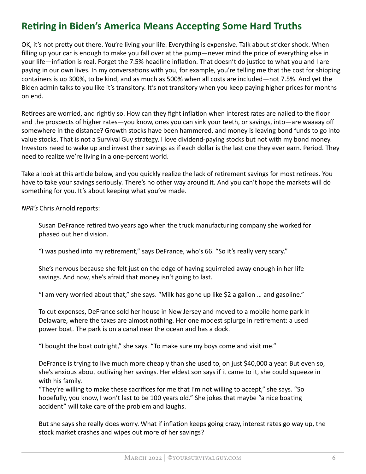## Retiring in Biden's America Means Accepting Some Hard Truths

OK, it's not pretty out there. You're living your life. Everything is expensive. Talk about sticker shock. When filling up your car is enough to make you fall over at the pump—never mind the price of everything else in your life—inflation is real. Forget the 7.5% headline inflation. That doesn't do justice to what you and I are paying in our own lives. In my conversations with you, for example, you're telling me that the cost for shipping containers is up 300%, to be kind, and as much as 500% when all costs are included—not 7.5%. And yet the Biden admin talks to you like it's transitory. It's not transitory when you keep paying higher prices for months on end.

Retirees are worried, and rightly so. How can they fight inflation when interest rates are nailed to the floor and the prospects of higher rates—you know, ones you can sink your teeth, or savings, into—are waaaay off somewhere in the distance? Growth stocks have been hammered, and money is leaving bond funds to go into value stocks. That is not a Survival Guy strategy. I love dividend-paying stocks but not with my bond money. Investors need to wake up and invest their savings as if each dollar is the last one they ever earn. Period. They need to realize we're living in a one-percent world.

Take a look at this article below, and you quickly realize the lack of retirement savings for most retirees. You have to take your savings seriously. There's no other way around it. And you can't hope the markets will do something for you. It's about keeping what you've made.

NPR's Chris Arnold reports:

Susan DeFrance retired two years ago when the truck manufacturing company she worked for phased out her division.

"I was pushed into my retirement," says DeFrance, who's 66. "So it's really very scary."

She's nervous because she felt just on the edge of having squirreled away enough in her life savings. And now, she's afraid that money isn't going to last.

"I am very worried about that," she says. "Milk has gone up like \$2 a gallon … and gasoline."

To cut expenses, DeFrance sold her house in New Jersey and moved to a mobile home park in Delaware, where the taxes are almost nothing. Her one modest splurge in retirement: a used power boat. The park is on a canal near the ocean and has a dock.

"I bought the boat outright," she says. "To make sure my boys come and visit me."

DeFrance is trying to live much more cheaply than she used to, on just \$40,000 a year. But even so, she's anxious about outliving her savings. Her eldest son says if it came to it, she could squeeze in with his family.

"They're willing to make these sacrifices for me that I'm not willing to accept," she says. "So hopefully, you know, I won't last to be 100 years old." She jokes that maybe "a nice boating accident" will take care of the problem and laughs.

But she says she really does worry. What if inflation keeps going crazy, interest rates go way up, the stock market crashes and wipes out more of her savings?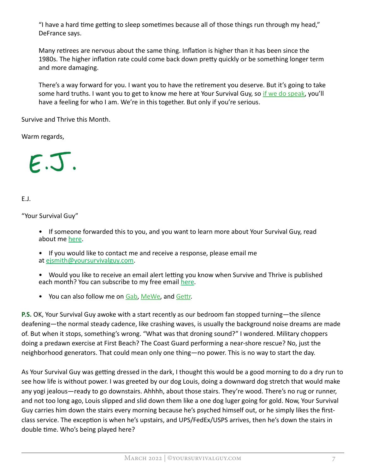"I have a hard time getting to sleep sometimes because all of those things run through my head," DeFrance says.

Many retirees are nervous about the same thing. Inflation is higher than it has been since the 1980s. The higher inflation rate could come back down pretty quickly or be something longer term and more damaging.

There's a way forward for you. I want you to have the retirement you deserv[e. But it's going t](https://www.yoursurvivalguy.com/financial-security/i-would-love-to-talk-with-you/)o take some hard truths. I want you to get to know me here at Your Survival Guy, so if we do speak, you'll have a feeling for who I am. We're in this together. But only if you're serious.

Survive and Thrive this Month.

Warm regards,



E.J.

"Your Survival Guy"

• If someone forwarded this to you, and you want to learn more about Your Survival Guy, read about m[e here.](https://www.yoursurvivalguy.com/about-me/)

• If you would like to contact me and receive a response, please email me [at ejsmith@yoursurvivalguy.com.](mailto:ejsmith@yoursurvivalguy.com)

• Would you like to receive an email alert letting you know when Survive and Thrive is published each month? You can subscribe to my free ema[il here.](https://forms.aweber.com/form/78/229550378.htm)

• You can also follow me [on Gab,](https://gab.com/yoursurvivalguy) [MeWe,](https://mewe.com/i/yoursurvivalguy) and Gettr.

P.S. OK, Your Survival Guy awoke with a start recently as our bedroom fan stopped turning—the silence deafening—the normal steady cadence, like crashing waves, is usually the background noise dreams are made of. But when it stops, something's wrong. "What was that droning sound?" I wondered. Military choppers doing a predawn exercise at First Beach? The Coast Guard performing a near-shore rescue? No, just the neighborhood generators. That could mean only one thing—no power. This is no way to start the day.

As Your Survival Guy was getting dressed in the dark, I thought this would be a good morning to do a dry run to see how life is without power. I was greeted by our dog Louis, doing a downward dog stretch that would make any yogi jealous—ready to go downstairs. Ahhhh, about those stairs. They're wood. There's no rug or runner, and not too long ago, Louis slipped and slid down them like a one dog luger going for gold. Now, Your Survival Guy carries him down the stairs every morning because he's psyched himself out, or he simply likes the firstclass service. The exception is when he's upstairs, and UPS/FedEx/USPS arrives, then he's down the stairs in double time. Who's being played here?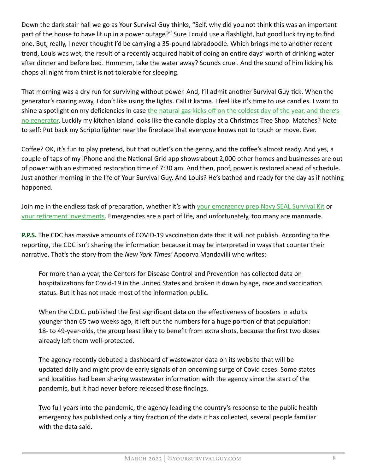Down the dark stair hall we go as Your Survival Guy thinks, "Self, why did you not think this was an important part of the house to have lit up in a power outage?" Sure I could use a flashlight, but good luck trying to find one. But, really, I never thought I'd be carrying a 35-pound labradoodle. Which brings me to another recent trend, Louis was wet, the result of a recently acquired habit of doing an entire days' worth of drinking water after dinner and before bed. Hmmmm, take the water away? Sounds cruel. And the sound of him licking his chops all night from thirst is not tolerable for sleeping.

That morning was a dry run for surviving without power. And, I'll admit another Survival Guy tick. When the generator's roaring away, I don't like using the lights. Call it karma. I feel like it's time to use candles. I want to shine a spotlight on my deficiencies in case the natural gas kicks off on the coldest day of the year, and there's [no generator. Lu](https://www.yoursurvivalguy.com/category/personal-security/newport-gas-outage/)ckily my kitchen island looks like the candle display at a Christmas Tree Shop. Matches? Note to self: Put back my Scripto lighter near the fireplace that everyone knows not to touch or move. Ever.

Coffee? OK, it's fun to play pretend, but that outlet's on the genny, and the coffee's almost ready. And yes, a couple of taps of my iPhone and the National Grid app shows about 2,000 other homes and businesses are out of power with an estimated restoration time of 7:30 am. And then, poof, power is restored ahead of schedule. Just another morning in the life of Your Survival Guy. And Louis? He's bathed and ready for the day as if nothing happened.

Join me in the endless task of preparation, whether it's wit[h your emergency prep Navy SEAL Survival Kit o](https://www.yoursurvivalguy.com/navy-seal-survival-kit/)r your retirement investments. Emergencies are a part of life, and unfortunately, too many are manmade.

**P.P.S.** The CDC has massive amounts of COVID-19 vaccination data that it will not publish. According to the reporting, the CDC isn't sharing the information because it may be interpreted in ways that counter their narrative. That's the story from the New York Times' Apoorva Mandavilli who writes:

For more than a year, the Centers for Disease Control and Prevention has collected data on hospitalizations for Covid-19 in the United States and broken it down by age, race and vaccination status. But it has not made most of the information public.

When the C.D.C. published the first significant data on the effectiveness of boosters in adults younger than 65 two weeks ago, it left out the numbers for a huge portion of that population: 18- to 49-year-olds, the group least likely to benefit from extra shots, because the first two doses already left them well-protected.

The agency recently debuted a dashboard of wastewater data on its website that will be updated daily and might provide early signals of an oncoming surge of Covid cases. Some states and localities had been sharing wastewater information with the agency since the start of the pandemic, but it had never before released those findings.

Two full years into the pandemic, the agency leading the country's response to the public health emergency has published only a tiny fraction of the data it has collected, several people familiar with the data said.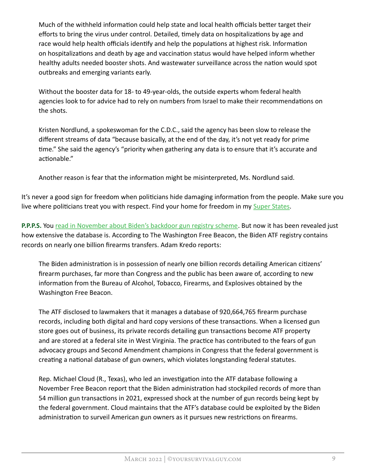Much of the withheld information could help state and local health officials better target their efforts to bring the virus under control. Detailed, timely data on hospitalizations by age and race would help health officials identify and help the populations at highest risk. Information on hospitalizations and death by age and vaccination status would have helped inform whether healthy adults needed booster shots. And wastewater surveillance across the nation would spot outbreaks and emerging variants early.

Without the booster data for 18- to 49-year-olds, the outside experts whom federal health agencies look to for advice had to rely on numbers from Israel to make their recommendations on the shots.

Kristen Nordlund, a spokeswoman for the C.D.C., said the agency has been slow to release the different streams of data "because basically, at the end of the day, it's not yet ready for prime time." She said the agency's "priority when gathering any data is to ensure that it's accurate and actionable."

Another reason is fear that the information might be misinterpreted, Ms. Nordlund said.

It's never a good sign for freedom when politicians hide damaging information from the people. Make sure you live where politicians treat you with respect. Find your home for freedom in [my Super States.](https://www.yoursurvivalguy.com/survive-and-thrive/survive-and-thrive-february-2022-your-survival-guys-2022-super-states/)

P.P.P.S. Yo[u read in November about Biden's backdoor gun registry scheme.](https://www.yoursurvivalguy.com/personal-security/biden/document-leak-bidens-backdoor-gun-registry-scheme-revealed/) But now it has been revealed just how extensive the database is. According to The Washington Free Beacon, the Biden ATF registry contains records on nearly one billion firearms transfers. Adam Kredo reports:

The Biden administration is in possession of nearly one billion records detailing American citizens' firearm purchases, far more than Congress and the public has been aware of, according to new information from the Bureau of Alcohol, Tobacco, Firearms, and Explosives obtained by the Washington Free Beacon.

The ATF disclosed to lawmakers that it manages a database of 920,664,765 firearm purchase records, including both digital and hard copy versions of these transactions. When a licensed gun store goes out of business, its private records detailing gun transactions become ATF property and are stored at a federal site in West Virginia. The practice has contributed to the fears of gun advocacy groups and Second Amendment champions in Congress that the federal government is creating a national database of gun owners, which violates longstanding federal statutes.

Rep. Michael Cloud (R., Texas), who led an investigation into the ATF database following a November Free Beacon report that the Biden administration had stockpiled records of more than 54 million gun transactions in 2021, expressed shock at the number of gun records being kept by the federal government. Cloud maintains that the ATF's database could be exploited by the Biden administration to surveil American gun owners as it pursues new restrictions on firearms.